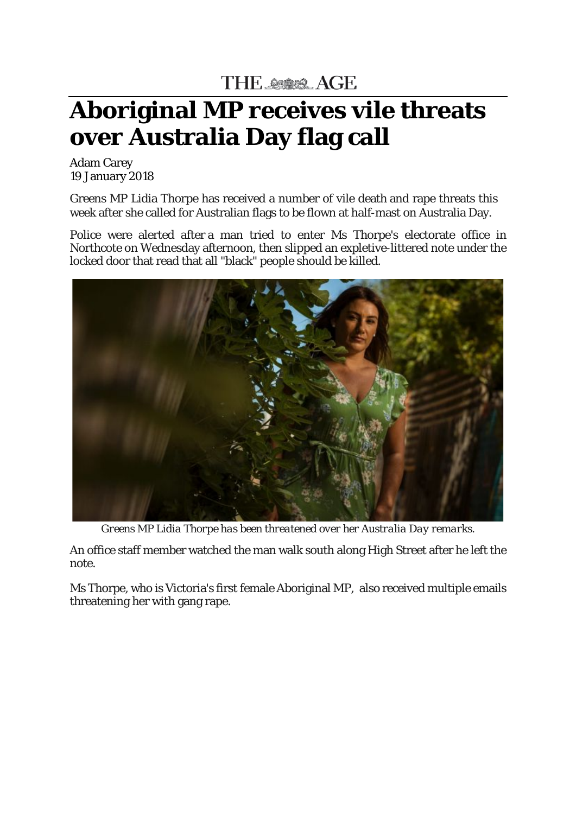THE SEE AGE

## **Aboriginal MP receives vile threats over Australia Day flag call**

Adam Carey 19 January 2018

Greens MP Lidia Thorpe has received a number of vile death and rape threats this week after she called for Australian flags to be flown at half-mast on Australia Day.

Police were alerted after a man tried to enter Ms Thorpe's electorate office in Northcote on Wednesday afternoon, then slipped an expletive-littered note under the locked door that read that all "black" people should be killed.



*Greens MP Lidia Thorpe has been threatened over her Australia Day remarks.*

An office staff member watched the man walk south along High Street after he left the note.

Ms Thorpe, who is Victoria's first female Aboriginal MP, also received multiple emails threatening her with gang rape.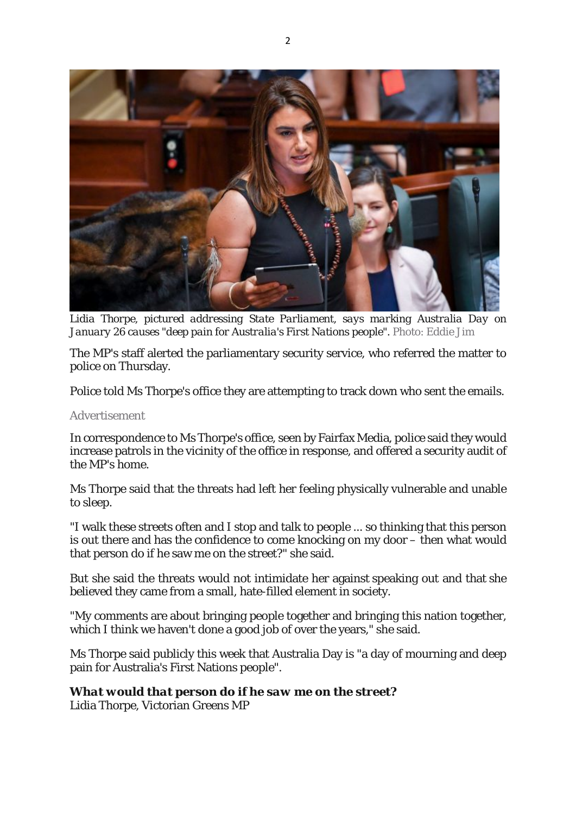

*Lidia Thorpe, pictured addressing State Parliament, says marking Australia Day on January 26 causes "deep pain for Australia's First Nations people".* Photo: Eddie Jim

The MP's staff alerted the parliamentary security service, who referred the matter to police on Thursday.

Police told Ms Thorpe's office they are attempting to track down who sent the emails.

## Advertisement

In correspondence to Ms Thorpe's office, seen by Fairfax Media, police said they would increase patrols in the vicinity of the office in response, and offered a security audit of the MP's home.

Ms Thorpe said that the threats had left her feeling physically vulnerable and unable to sleep.

"I walk these streets often and I stop and talk to people ... so thinking that this person is out there and has the confidence to come knocking on my door – then what would that person do if he saw me on the street?" she said.

But she said the threats would not intimidate her against speaking out and that she believed they came from a small, hate-filled element in society.

"My comments are about bringing people together and bringing this nation together, which I think we haven't done a good job of over the years," she said.

Ms Thorpe said publicly this week that Australia Day is "a day of mourning and deep pain for Australia's First Nations people".

## *What would that person do if he saw me on the street?*

Lidia Thorpe, Victorian Greens MP